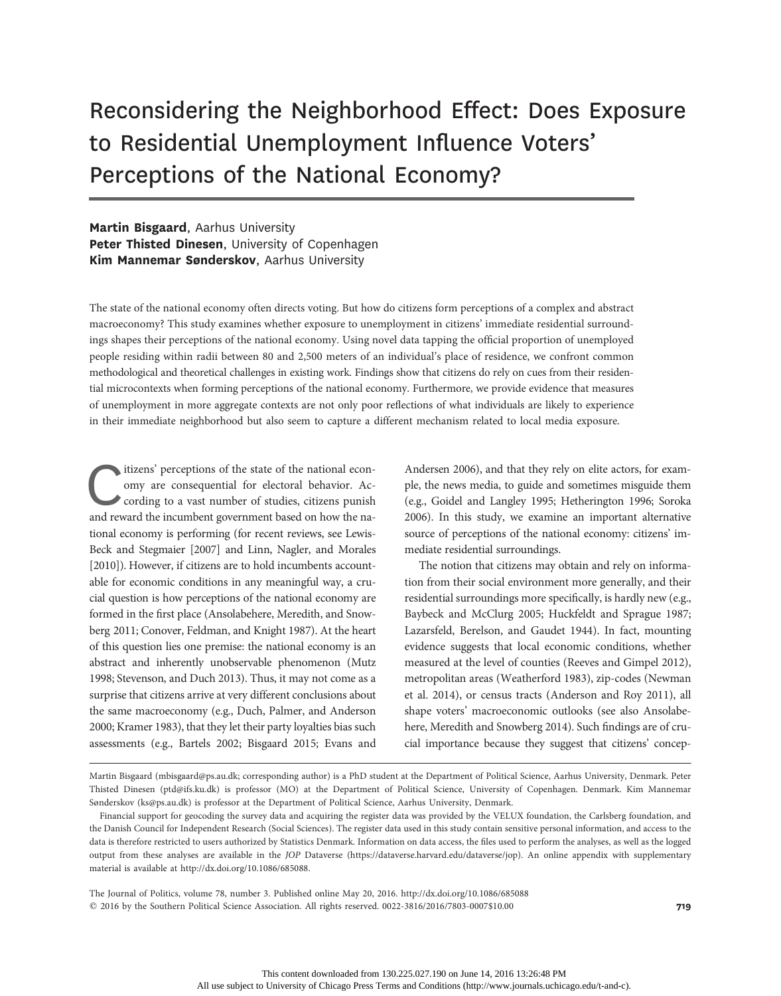# Reconsidering the Neighborhood Effect: Does Exposure to Residential Unemployment Influence Voters' Perceptions of the National Economy?

Martin Bisgaard, Aarhus University Peter Thisted Dinesen, University of Copenhagen Kim Mannemar Sønderskov, Aarhus University

The state of the national economy often directs voting. But how do citizens form perceptions of a complex and abstract macroeconomy? This study examines whether exposure to unemployment in citizens' immediate residential surroundings shapes their perceptions of the national economy. Using novel data tapping the official proportion of unemployed people residing within radii between 80 and 2,500 meters of an individual's place of residence, we confront common methodological and theoretical challenges in existing work. Findings show that citizens do rely on cues from their residential microcontexts when forming perceptions of the national economy. Furthermore, we provide evidence that measures of unemployment in more aggregate contexts are not only poor reflections of what individuals are likely to experience in their immediate neighborhood but also seem to capture a different mechanism related to local media exposure.

Itizens' perceptions of the state of the national econ-<br>omy are consequential for electoral behavior. According to a vast number of studies, citizens punish<br>and reward the incumbent government based on how the naomy are consequential for electoral behavior. According to a vast number of studies, citizens punish and reward the incumbent government based on how the national economy is performing (for recent reviews, see Lewis-Beck and Stegmaier [2007] and Linn, Nagler, and Morales [2010]). However, if citizens are to hold incumbents accountable for economic conditions in any meaningful way, a crucial question is how perceptions of the national economy are formed in the first place (Ansolabehere, Meredith, and Snowberg 2011; Conover, Feldman, and Knight 1987). At the heart of this question lies one premise: the national economy is an abstract and inherently unobservable phenomenon (Mutz 1998; Stevenson, and Duch 2013). Thus, it may not come as a surprise that citizens arrive at very different conclusions about the same macroeconomy (e.g., Duch, Palmer, and Anderson 2000; Kramer 1983), that they let their party loyalties bias such assessments (e.g., Bartels 2002; Bisgaard 2015; Evans and

Andersen 2006), and that they rely on elite actors, for example, the news media, to guide and sometimes misguide them (e.g., Goidel and Langley 1995; Hetherington 1996; Soroka 2006). In this study, we examine an important alternative source of perceptions of the national economy: citizens' immediate residential surroundings.

The notion that citizens may obtain and rely on information from their social environment more generally, and their residential surroundings more specifically, is hardly new (e.g., Baybeck and McClurg 2005; Huckfeldt and Sprague 1987; Lazarsfeld, Berelson, and Gaudet 1944). In fact, mounting evidence suggests that local economic conditions, whether measured at the level of counties (Reeves and Gimpel 2012), metropolitan areas (Weatherford 1983), zip-codes (Newman et al. 2014), or census tracts (Anderson and Roy 2011), all shape voters' macroeconomic outlooks (see also Ansolabehere, Meredith and Snowberg 2014). Such findings are of crucial importance because they suggest that citizens' concep-

The Journal of Politics, volume 78, number 3. Published online May 20, 2016. http://dx.doi.org/10.1086/685088  $@$  2016 by the Southern Political Science Association. All rights reserved. 0022-3816/2016/7803-0007\$10.00  $719$ 

Martin Bisgaard (mbisgaard@ps.au.dk; corresponding author) is a PhD student at the Department of Political Science, Aarhus University, Denmark. Peter Thisted Dinesen (ptd@ifs.ku.dk) is professor (MO) at the Department of Political Science, University of Copenhagen. Denmark. Kim Mannemar Sønderskov (ks@ps.au.dk) is professor at the Department of Political Science, Aarhus University, Denmark.

Financial support for geocoding the survey data and acquiring the register data was provided by the VELUX foundation, the Carlsberg foundation, and the Danish Council for Independent Research (Social Sciences). The register data used in this study contain sensitive personal information, and access to the data is therefore restricted to users authorized by Statistics Denmark. Information on data access, the files used to perform the analyses, as well as the logged output from these analyses are available in the JOP Dataverse (https://dataverse.harvard.edu/dataverse/jop). An online appendix with supplementary material is available at http://dx.doi.org/10.1086/685088.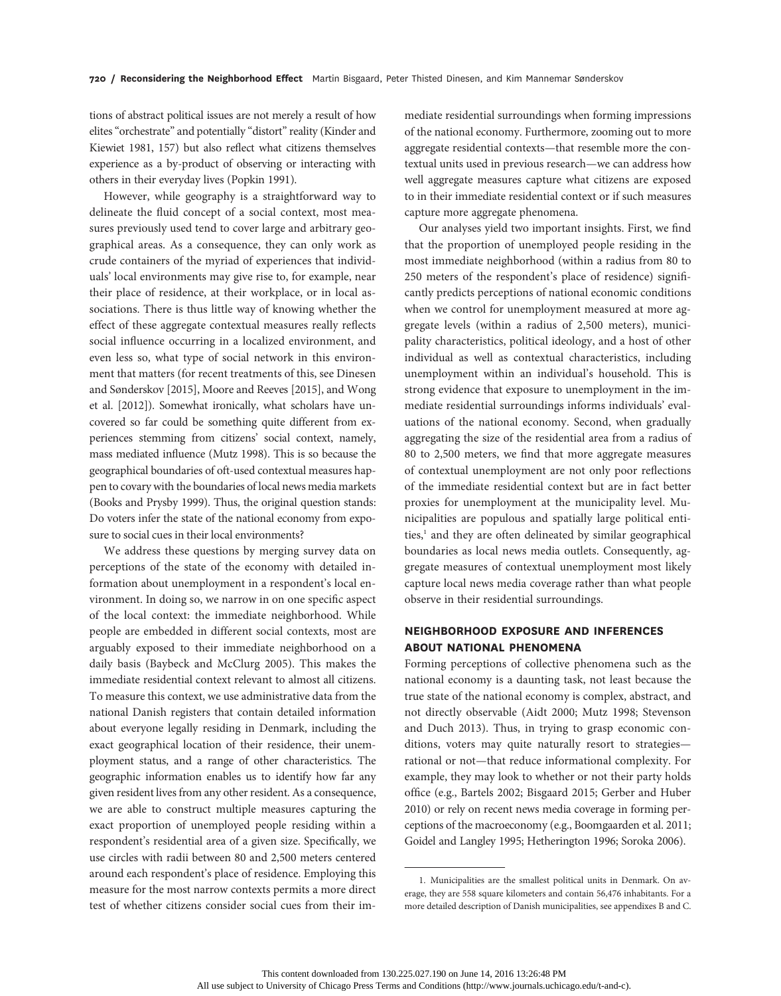tions of abstract political issues are not merely a result of how elites "orchestrate" and potentially "distort" reality (Kinder and Kiewiet 1981, 157) but also reflect what citizens themselves experience as a by-product of observing or interacting with others in their everyday lives (Popkin 1991).

However, while geography is a straightforward way to delineate the fluid concept of a social context, most measures previously used tend to cover large and arbitrary geographical areas. As a consequence, they can only work as crude containers of the myriad of experiences that individuals' local environments may give rise to, for example, near their place of residence, at their workplace, or in local associations. There is thus little way of knowing whether the effect of these aggregate contextual measures really reflects social influence occurring in a localized environment, and even less so, what type of social network in this environment that matters (for recent treatments of this, see Dinesen and Sønderskov [2015], Moore and Reeves [2015], and Wong et al. [2012]). Somewhat ironically, what scholars have uncovered so far could be something quite different from experiences stemming from citizens' social context, namely, mass mediated influence (Mutz 1998). This is so because the geographical boundaries of oft-used contextual measures happen to covary with the boundaries of local news media markets (Books and Prysby 1999). Thus, the original question stands: Do voters infer the state of the national economy from exposure to social cues in their local environments?

We address these questions by merging survey data on perceptions of the state of the economy with detailed information about unemployment in a respondent's local environment. In doing so, we narrow in on one specific aspect of the local context: the immediate neighborhood. While people are embedded in different social contexts, most are arguably exposed to their immediate neighborhood on a daily basis (Baybeck and McClurg 2005). This makes the immediate residential context relevant to almost all citizens. To measure this context, we use administrative data from the national Danish registers that contain detailed information about everyone legally residing in Denmark, including the exact geographical location of their residence, their unemployment status, and a range of other characteristics. The geographic information enables us to identify how far any given resident lives from any other resident. As a consequence, we are able to construct multiple measures capturing the exact proportion of unemployed people residing within a respondent's residential area of a given size. Specifically, we use circles with radii between 80 and 2,500 meters centered around each respondent's place of residence. Employing this measure for the most narrow contexts permits a more direct test of whether citizens consider social cues from their im-

mediate residential surroundings when forming impressions of the national economy. Furthermore, zooming out to more aggregate residential contexts—that resemble more the contextual units used in previous research—we can address how well aggregate measures capture what citizens are exposed to in their immediate residential context or if such measures capture more aggregate phenomena.

Our analyses yield two important insights. First, we find that the proportion of unemployed people residing in the most immediate neighborhood (within a radius from 80 to 250 meters of the respondent's place of residence) significantly predicts perceptions of national economic conditions when we control for unemployment measured at more aggregate levels (within a radius of 2,500 meters), municipality characteristics, political ideology, and a host of other individual as well as contextual characteristics, including unemployment within an individual's household. This is strong evidence that exposure to unemployment in the immediate residential surroundings informs individuals' evaluations of the national economy. Second, when gradually aggregating the size of the residential area from a radius of 80 to 2,500 meters, we find that more aggregate measures of contextual unemployment are not only poor reflections of the immediate residential context but are in fact better proxies for unemployment at the municipality level. Municipalities are populous and spatially large political entities, $<sup>1</sup>$  and they are often delineated by similar geographical</sup> boundaries as local news media outlets. Consequently, aggregate measures of contextual unemployment most likely capture local news media coverage rather than what people observe in their residential surroundings.

# NEIGHBORHOOD EXPOSURE AND INFERENCES ABOUT NATIONAL PHENOMENA

Forming perceptions of collective phenomena such as the national economy is a daunting task, not least because the true state of the national economy is complex, abstract, and not directly observable (Aidt 2000; Mutz 1998; Stevenson and Duch 2013). Thus, in trying to grasp economic conditions, voters may quite naturally resort to strategies rational or not—that reduce informational complexity. For example, they may look to whether or not their party holds office (e.g., Bartels 2002; Bisgaard 2015; Gerber and Huber 2010) or rely on recent news media coverage in forming perceptions of the macroeconomy (e.g., Boomgaarden et al. 2011; Goidel and Langley 1995; Hetherington 1996; Soroka 2006).

<sup>1.</sup> Municipalities are the smallest political units in Denmark. On average, they are 558 square kilometers and contain 56,476 inhabitants. For a more detailed description of Danish municipalities, see appendixes B and C.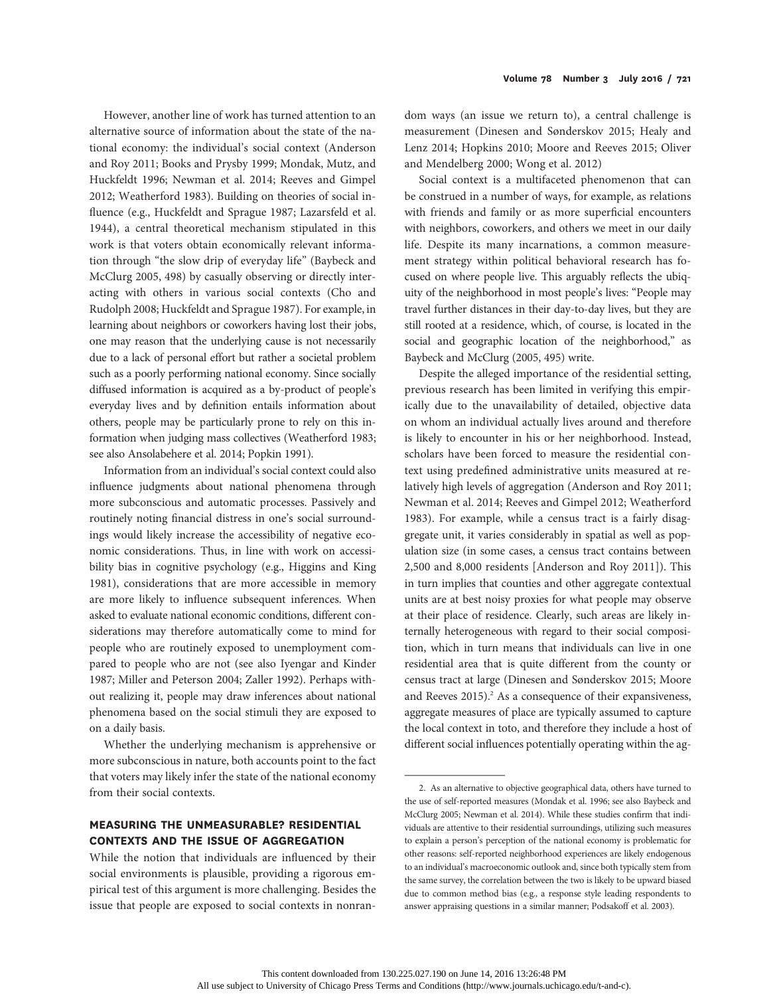However, another line of work has turned attention to an alternative source of information about the state of the national economy: the individual's social context (Anderson and Roy 2011; Books and Prysby 1999; Mondak, Mutz, and Huckfeldt 1996; Newman et al. 2014; Reeves and Gimpel 2012; Weatherford 1983). Building on theories of social influence (e.g., Huckfeldt and Sprague 1987; Lazarsfeld et al. 1944), a central theoretical mechanism stipulated in this work is that voters obtain economically relevant information through "the slow drip of everyday life" (Baybeck and McClurg 2005, 498) by casually observing or directly interacting with others in various social contexts (Cho and Rudolph 2008; Huckfeldt and Sprague 1987). For example, in learning about neighbors or coworkers having lost their jobs, one may reason that the underlying cause is not necessarily due to a lack of personal effort but rather a societal problem such as a poorly performing national economy. Since socially diffused information is acquired as a by-product of people's everyday lives and by definition entails information about others, people may be particularly prone to rely on this information when judging mass collectives (Weatherford 1983; see also Ansolabehere et al. 2014; Popkin 1991).

Information from an individual's social context could also influence judgments about national phenomena through more subconscious and automatic processes. Passively and routinely noting financial distress in one's social surroundings would likely increase the accessibility of negative economic considerations. Thus, in line with work on accessibility bias in cognitive psychology (e.g., Higgins and King 1981), considerations that are more accessible in memory are more likely to influence subsequent inferences. When asked to evaluate national economic conditions, different considerations may therefore automatically come to mind for people who are routinely exposed to unemployment compared to people who are not (see also Iyengar and Kinder 1987; Miller and Peterson 2004; Zaller 1992). Perhaps without realizing it, people may draw inferences about national phenomena based on the social stimuli they are exposed to on a daily basis.

Whether the underlying mechanism is apprehensive or more subconscious in nature, both accounts point to the fact that voters may likely infer the state of the national economy from their social contexts.

# MEASURING THE UNMEASURABLE? RESIDENTIAL CONTEXTS AND THE ISSUE OF AGGREGATION

While the notion that individuals are influenced by their social environments is plausible, providing a rigorous empirical test of this argument is more challenging. Besides the issue that people are exposed to social contexts in nonran-

dom ways (an issue we return to), a central challenge is measurement (Dinesen and Sønderskov 2015; Healy and Lenz 2014; Hopkins 2010; Moore and Reeves 2015; Oliver and Mendelberg 2000; Wong et al. 2012)

Social context is a multifaceted phenomenon that can be construed in a number of ways, for example, as relations with friends and family or as more superficial encounters with neighbors, coworkers, and others we meet in our daily life. Despite its many incarnations, a common measurement strategy within political behavioral research has focused on where people live. This arguably reflects the ubiquity of the neighborhood in most people's lives: "People may travel further distances in their day-to-day lives, but they are still rooted at a residence, which, of course, is located in the social and geographic location of the neighborhood," as Baybeck and McClurg (2005, 495) write.

Despite the alleged importance of the residential setting, previous research has been limited in verifying this empirically due to the unavailability of detailed, objective data on whom an individual actually lives around and therefore is likely to encounter in his or her neighborhood. Instead, scholars have been forced to measure the residential context using predefined administrative units measured at relatively high levels of aggregation (Anderson and Roy 2011; Newman et al. 2014; Reeves and Gimpel 2012; Weatherford 1983). For example, while a census tract is a fairly disaggregate unit, it varies considerably in spatial as well as population size (in some cases, a census tract contains between 2,500 and 8,000 residents [Anderson and Roy 2011]). This in turn implies that counties and other aggregate contextual units are at best noisy proxies for what people may observe at their place of residence. Clearly, such areas are likely internally heterogeneous with regard to their social composition, which in turn means that individuals can live in one residential area that is quite different from the county or census tract at large (Dinesen and Sønderskov 2015; Moore and Reeves  $2015$ .<sup>2</sup> As a consequence of their expansiveness, aggregate measures of place are typically assumed to capture the local context in toto, and therefore they include a host of different social influences potentially operating within the ag-

<sup>2.</sup> As an alternative to objective geographical data, others have turned to the use of self-reported measures (Mondak et al. 1996; see also Baybeck and McClurg 2005; Newman et al. 2014). While these studies confirm that individuals are attentive to their residential surroundings, utilizing such measures to explain a person's perception of the national economy is problematic for other reasons: self-reported neighborhood experiences are likely endogenous to an individual's macroeconomic outlook and, since both typically stem from the same survey, the correlation between the two is likely to be upward biased due to common method bias (e.g., a response style leading respondents to answer appraising questions in a similar manner; Podsakoff et al. 2003).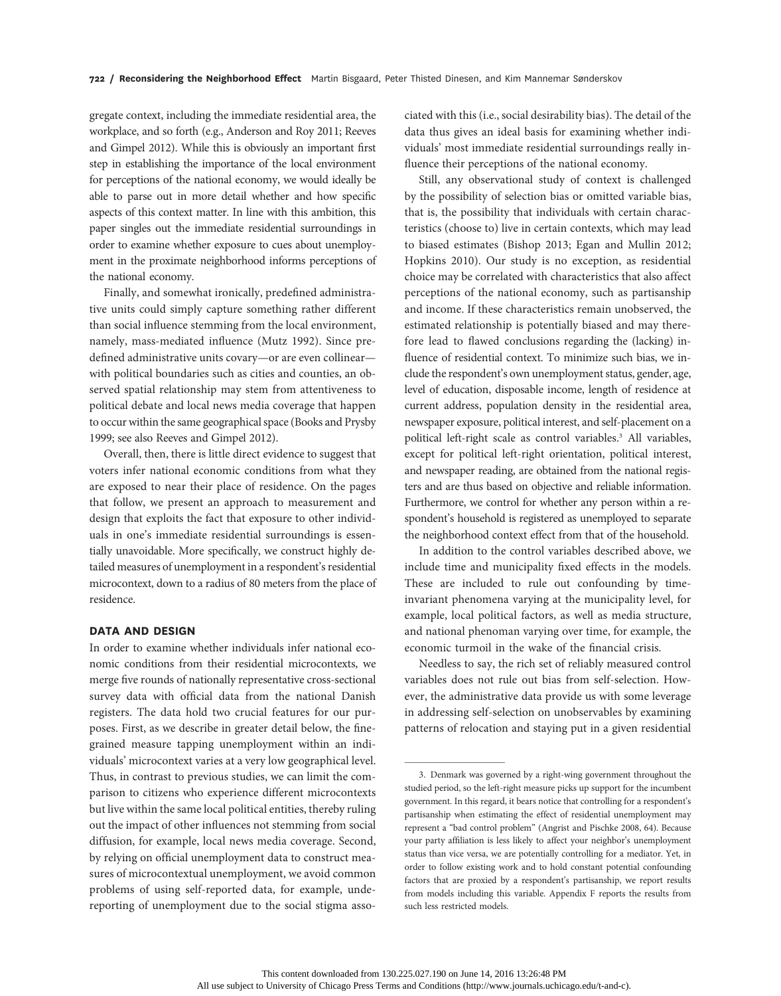gregate context, including the immediate residential area, the workplace, and so forth (e.g., Anderson and Roy 2011; Reeves and Gimpel 2012). While this is obviously an important first step in establishing the importance of the local environment for perceptions of the national economy, we would ideally be able to parse out in more detail whether and how specific aspects of this context matter. In line with this ambition, this paper singles out the immediate residential surroundings in order to examine whether exposure to cues about unemployment in the proximate neighborhood informs perceptions of the national economy.

Finally, and somewhat ironically, predefined administrative units could simply capture something rather different than social influence stemming from the local environment, namely, mass-mediated influence (Mutz 1992). Since predefined administrative units covary—or are even collinear with political boundaries such as cities and counties, an observed spatial relationship may stem from attentiveness to political debate and local news media coverage that happen to occur within the same geographical space (Books and Prysby 1999; see also Reeves and Gimpel 2012).

Overall, then, there is little direct evidence to suggest that voters infer national economic conditions from what they are exposed to near their place of residence. On the pages that follow, we present an approach to measurement and design that exploits the fact that exposure to other individuals in one's immediate residential surroundings is essentially unavoidable. More specifically, we construct highly detailed measures of unemployment in a respondent's residential microcontext, down to a radius of 80 meters from the place of residence.

## DATA AND DESIGN

In order to examine whether individuals infer national economic conditions from their residential microcontexts, we merge five rounds of nationally representative cross-sectional survey data with official data from the national Danish registers. The data hold two crucial features for our purposes. First, as we describe in greater detail below, the finegrained measure tapping unemployment within an individuals' microcontext varies at a very low geographical level. Thus, in contrast to previous studies, we can limit the comparison to citizens who experience different microcontexts but live within the same local political entities, thereby ruling out the impact of other influences not stemming from social diffusion, for example, local news media coverage. Second, by relying on official unemployment data to construct measures of microcontextual unemployment, we avoid common problems of using self-reported data, for example, undereporting of unemployment due to the social stigma associated with this (i.e., social desirability bias). The detail of the data thus gives an ideal basis for examining whether individuals' most immediate residential surroundings really influence their perceptions of the national economy.

Still, any observational study of context is challenged by the possibility of selection bias or omitted variable bias, that is, the possibility that individuals with certain characteristics (choose to) live in certain contexts, which may lead to biased estimates (Bishop 2013; Egan and Mullin 2012; Hopkins 2010). Our study is no exception, as residential choice may be correlated with characteristics that also affect perceptions of the national economy, such as partisanship and income. If these characteristics remain unobserved, the estimated relationship is potentially biased and may therefore lead to flawed conclusions regarding the (lacking) influence of residential context. To minimize such bias, we include the respondent's own unemployment status, gender, age, level of education, disposable income, length of residence at current address, population density in the residential area, newspaper exposure, political interest, and self-placement on a political left-right scale as control variables.<sup>3</sup> All variables, except for political left-right orientation, political interest, and newspaper reading, are obtained from the national registers and are thus based on objective and reliable information. Furthermore, we control for whether any person within a respondent's household is registered as unemployed to separate the neighborhood context effect from that of the household.

In addition to the control variables described above, we include time and municipality fixed effects in the models. These are included to rule out confounding by timeinvariant phenomena varying at the municipality level, for example, local political factors, as well as media structure, and national phenoman varying over time, for example, the economic turmoil in the wake of the financial crisis.

Needless to say, the rich set of reliably measured control variables does not rule out bias from self-selection. However, the administrative data provide us with some leverage in addressing self-selection on unobservables by examining patterns of relocation and staying put in a given residential

<sup>3.</sup> Denmark was governed by a right-wing government throughout the studied period, so the left-right measure picks up support for the incumbent government. In this regard, it bears notice that controlling for a respondent's partisanship when estimating the effect of residential unemployment may represent a "bad control problem" (Angrist and Pischke 2008, 64). Because your party affiliation is less likely to affect your neighbor's unemployment status than vice versa, we are potentially controlling for a mediator. Yet, in order to follow existing work and to hold constant potential confounding factors that are proxied by a respondent's partisanship, we report results from models including this variable. Appendix F reports the results from such less restricted models.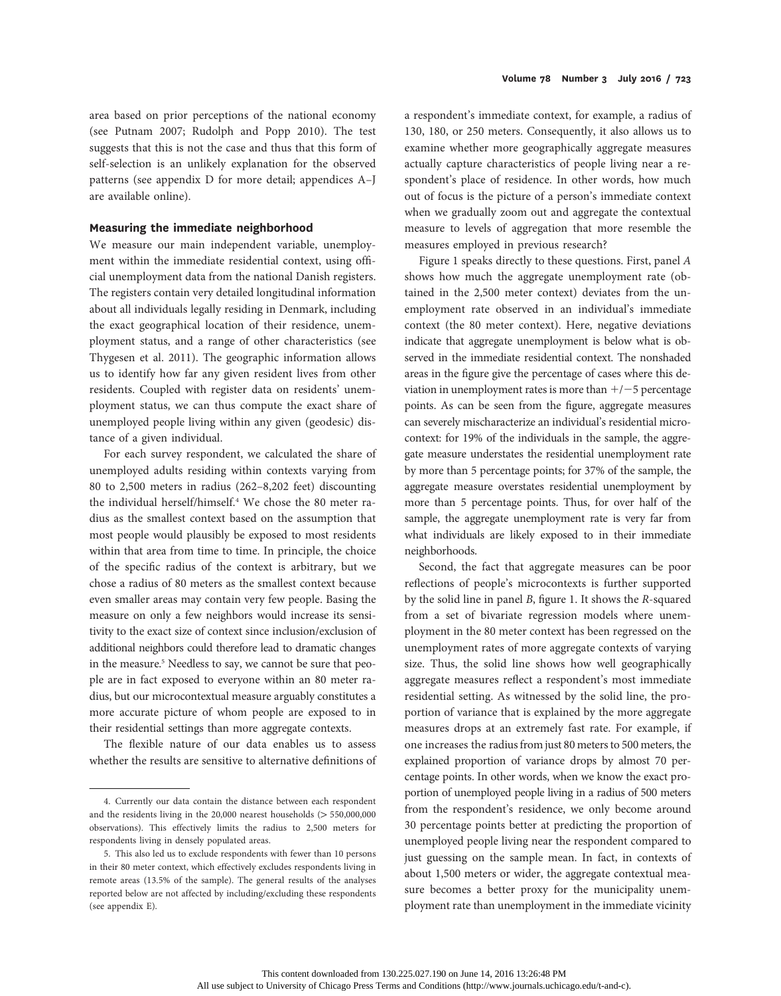area based on prior perceptions of the national economy (see Putnam 2007; Rudolph and Popp 2010). The test suggests that this is not the case and thus that this form of self-selection is an unlikely explanation for the observed patterns (see appendix D for more detail; appendices A–J are available online).

#### Measuring the immediate neighborhood

We measure our main independent variable, unemployment within the immediate residential context, using official unemployment data from the national Danish registers. The registers contain very detailed longitudinal information about all individuals legally residing in Denmark, including the exact geographical location of their residence, unemployment status, and a range of other characteristics (see Thygesen et al. 2011). The geographic information allows us to identify how far any given resident lives from other residents. Coupled with register data on residents' unemployment status, we can thus compute the exact share of unemployed people living within any given (geodesic) distance of a given individual.

For each survey respondent, we calculated the share of unemployed adults residing within contexts varying from 80 to 2,500 meters in radius (262–8,202 feet) discounting the individual herself/himself.4 We chose the 80 meter radius as the smallest context based on the assumption that most people would plausibly be exposed to most residents within that area from time to time. In principle, the choice of the specific radius of the context is arbitrary, but we chose a radius of 80 meters as the smallest context because even smaller areas may contain very few people. Basing the measure on only a few neighbors would increase its sensitivity to the exact size of context since inclusion/exclusion of additional neighbors could therefore lead to dramatic changes in the measure.<sup>5</sup> Needless to say, we cannot be sure that people are in fact exposed to everyone within an 80 meter radius, but our microcontextual measure arguably constitutes a more accurate picture of whom people are exposed to in their residential settings than more aggregate contexts.

The flexible nature of our data enables us to assess whether the results are sensitive to alternative definitions of a respondent's immediate context, for example, a radius of 130, 180, or 250 meters. Consequently, it also allows us to examine whether more geographically aggregate measures actually capture characteristics of people living near a respondent's place of residence. In other words, how much out of focus is the picture of a person's immediate context when we gradually zoom out and aggregate the contextual measure to levels of aggregation that more resemble the measures employed in previous research?

Figure 1 speaks directly to these questions. First, panel A shows how much the aggregate unemployment rate (obtained in the 2,500 meter context) deviates from the unemployment rate observed in an individual's immediate context (the 80 meter context). Here, negative deviations indicate that aggregate unemployment is below what is observed in the immediate residential context. The nonshaded areas in the figure give the percentage of cases where this deviation in unemployment rates is more than  $+/-5$  percentage points. As can be seen from the figure, aggregate measures can severely mischaracterize an individual's residential microcontext: for 19% of the individuals in the sample, the aggregate measure understates the residential unemployment rate by more than 5 percentage points; for 37% of the sample, the aggregate measure overstates residential unemployment by more than 5 percentage points. Thus, for over half of the sample, the aggregate unemployment rate is very far from what individuals are likely exposed to in their immediate neighborhoods.

Second, the fact that aggregate measures can be poor reflections of people's microcontexts is further supported by the solid line in panel B, figure 1. It shows the R-squared from a set of bivariate regression models where unemployment in the 80 meter context has been regressed on the unemployment rates of more aggregate contexts of varying size. Thus, the solid line shows how well geographically aggregate measures reflect a respondent's most immediate residential setting. As witnessed by the solid line, the proportion of variance that is explained by the more aggregate measures drops at an extremely fast rate. For example, if one increases the radius from just 80 meters to 500 meters, the explained proportion of variance drops by almost 70 percentage points. In other words, when we know the exact proportion of unemployed people living in a radius of 500 meters from the respondent's residence, we only become around 30 percentage points better at predicting the proportion of unemployed people living near the respondent compared to just guessing on the sample mean. In fact, in contexts of about 1,500 meters or wider, the aggregate contextual measure becomes a better proxy for the municipality unemployment rate than unemployment in the immediate vicinity

<sup>4.</sup> Currently our data contain the distance between each respondent and the residents living in the  $20,000$  nearest households ( $> 550,000,000$ observations). This effectively limits the radius to 2,500 meters for respondents living in densely populated areas.

<sup>5.</sup> This also led us to exclude respondents with fewer than 10 persons in their 80 meter context, which effectively excludes respondents living in remote areas (13.5% of the sample). The general results of the analyses reported below are not affected by including/excluding these respondents (see appendix E).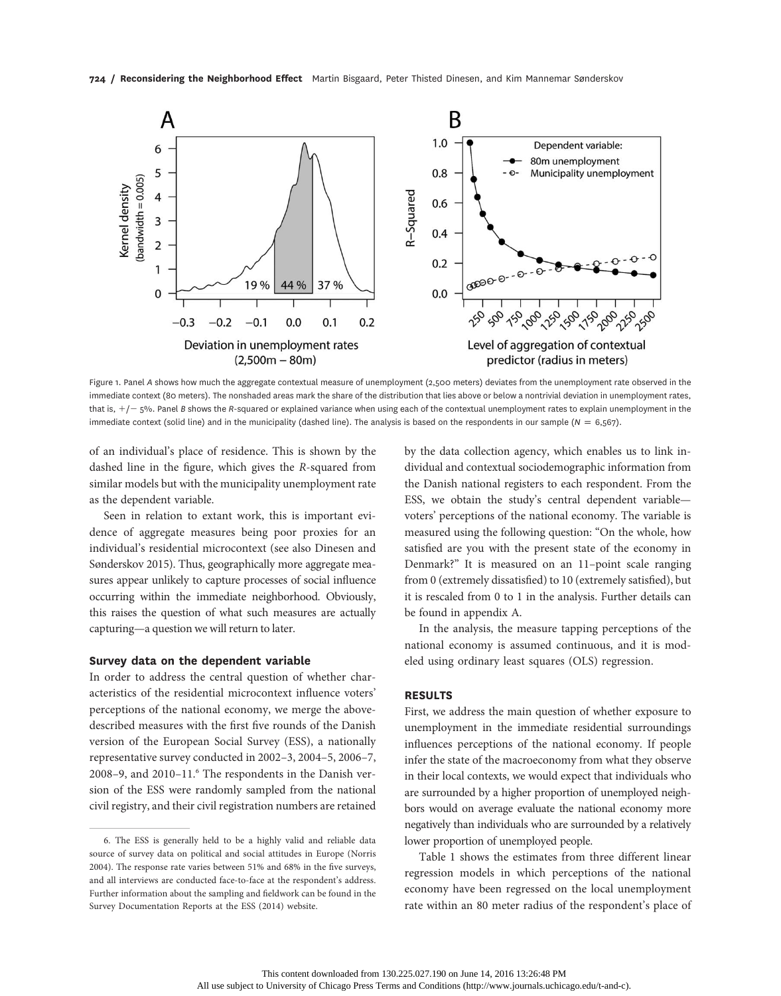724 / Reconsidering the Neighborhood Effect Martin Bisgaard, Peter Thisted Dinesen, and Kim Mannemar Sønderskov



Figure 1. Panel A shows how much the aggregate contextual measure of unemployment (2,500 meters) deviates from the unemployment rate observed in the immediate context (80 meters). The nonshaded areas mark the share of the distribution that lies above or below a nontrivial deviation in unemployment rates, that is,  $+/-$  5%. Panel B shows the R-squared or explained variance when using each of the contextual unemployment rates to explain unemployment in the immediate context (solid line) and in the municipality (dashed line). The analysis is based on the respondents in our sample ( $N = 6,567$ ).

of an individual's place of residence. This is shown by the dashed line in the figure, which gives the R-squared from similar models but with the municipality unemployment rate as the dependent variable.

Seen in relation to extant work, this is important evidence of aggregate measures being poor proxies for an individual's residential microcontext (see also Dinesen and Sønderskov 2015). Thus, geographically more aggregate measures appear unlikely to capture processes of social influence occurring within the immediate neighborhood. Obviously, this raises the question of what such measures are actually capturing—a question we will return to later.

#### Survey data on the dependent variable

In order to address the central question of whether characteristics of the residential microcontext influence voters' perceptions of the national economy, we merge the abovedescribed measures with the first five rounds of the Danish version of the European Social Survey (ESS), a nationally representative survey conducted in 2002–3, 2004–5, 2006–7, 2008–9, and 2010–11.6 The respondents in the Danish version of the ESS were randomly sampled from the national civil registry, and their civil registration numbers are retained

by the data collection agency, which enables us to link individual and contextual sociodemographic information from the Danish national registers to each respondent. From the ESS, we obtain the study's central dependent variable voters' perceptions of the national economy. The variable is measured using the following question: "On the whole, how satisfied are you with the present state of the economy in Denmark?" It is measured on an 11–point scale ranging from 0 (extremely dissatisfied) to 10 (extremely satisfied), but it is rescaled from 0 to 1 in the analysis. Further details can be found in appendix A.

In the analysis, the measure tapping perceptions of the national economy is assumed continuous, and it is modeled using ordinary least squares (OLS) regression.

#### RESULTS

First, we address the main question of whether exposure to unemployment in the immediate residential surroundings influences perceptions of the national economy. If people infer the state of the macroeconomy from what they observe in their local contexts, we would expect that individuals who are surrounded by a higher proportion of unemployed neighbors would on average evaluate the national economy more negatively than individuals who are surrounded by a relatively lower proportion of unemployed people.

Table 1 shows the estimates from three different linear regression models in which perceptions of the national economy have been regressed on the local unemployment rate within an 80 meter radius of the respondent's place of

<sup>6.</sup> The ESS is generally held to be a highly valid and reliable data source of survey data on political and social attitudes in Europe (Norris 2004). The response rate varies between 51% and 68% in the five surveys, and all interviews are conducted face-to-face at the respondent's address. Further information about the sampling and fieldwork can be found in the Survey Documentation Reports at the ESS (2014) website.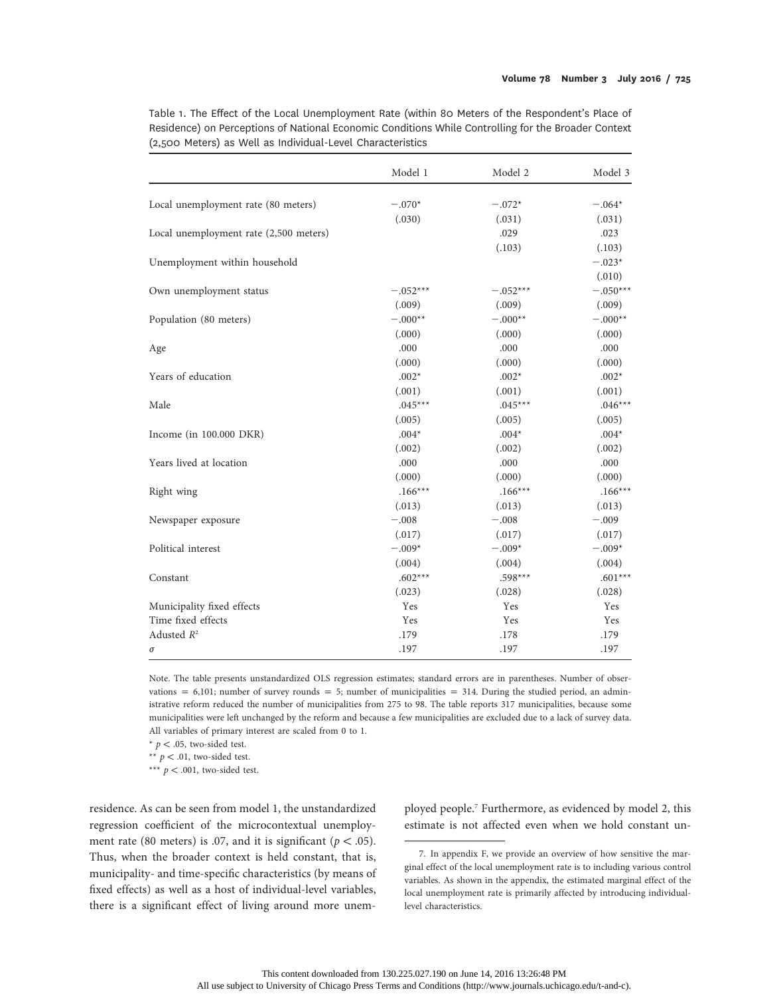|                                        | Model 1                                                                                                                                                                                                                                                                               | Model 2    | Model 3    |
|----------------------------------------|---------------------------------------------------------------------------------------------------------------------------------------------------------------------------------------------------------------------------------------------------------------------------------------|------------|------------|
| Local unemployment rate (80 meters)    |                                                                                                                                                                                                                                                                                       | $-.072*$   | $-.064*$   |
|                                        |                                                                                                                                                                                                                                                                                       | (.031)     | (.031)     |
| Local unemployment rate (2,500 meters) |                                                                                                                                                                                                                                                                                       | .029       | .023       |
|                                        |                                                                                                                                                                                                                                                                                       | (.103)     | (.103)     |
| Unemployment within household          |                                                                                                                                                                                                                                                                                       |            | $-.023*$   |
|                                        | $-.070*$<br>(.030)<br>$-.052***$<br>(.009)<br>$-.000**$<br>(.000)<br>.000<br>(.000)<br>$.002*$<br>(.001)<br>$.045***$<br>(.005)<br>$.004*$<br>(.002)<br>.000<br>(.000)<br>$.166***$<br>(.013)<br>$-.008$<br>(.017)<br>$-.009*$<br>(.004)<br>$.602***$<br>(.023)<br>Yes<br>Yes<br>.179 |            | (.010)     |
| Own unemployment status                |                                                                                                                                                                                                                                                                                       | $-.052***$ | $-.050***$ |
|                                        |                                                                                                                                                                                                                                                                                       | (.009)     | (.009)     |
| Population (80 meters)                 |                                                                                                                                                                                                                                                                                       | $-.000**$  | $-.000**$  |
|                                        |                                                                                                                                                                                                                                                                                       | (.000)     | (.000)     |
| Age                                    |                                                                                                                                                                                                                                                                                       | .000       | .000       |
|                                        |                                                                                                                                                                                                                                                                                       | (.000)     | (.000)     |
| Years of education                     |                                                                                                                                                                                                                                                                                       | $.002*$    | $.002*$    |
|                                        |                                                                                                                                                                                                                                                                                       | (.001)     | (.001)     |
| Male                                   |                                                                                                                                                                                                                                                                                       | $.045***$  | $.046***$  |
|                                        |                                                                                                                                                                                                                                                                                       | (.005)     | (.005)     |
| Income (in 100.000 DKR)                |                                                                                                                                                                                                                                                                                       | $.004*$    | .004 $*$   |
|                                        |                                                                                                                                                                                                                                                                                       | (.002)     | (.002)     |
| Years lived at location                |                                                                                                                                                                                                                                                                                       | .000       | .000       |
|                                        |                                                                                                                                                                                                                                                                                       | (.000)     | (.000)     |
| Right wing                             |                                                                                                                                                                                                                                                                                       | $.166***$  | $.166***$  |
|                                        |                                                                                                                                                                                                                                                                                       | (.013)     | (.013)     |
| Newspaper exposure                     |                                                                                                                                                                                                                                                                                       | $-.008$    | $-.009$    |
|                                        |                                                                                                                                                                                                                                                                                       | (.017)     | (.017)     |
| Political interest                     |                                                                                                                                                                                                                                                                                       | $-.009*$   | $-.009*$   |
|                                        |                                                                                                                                                                                                                                                                                       | (.004)     | (.004)     |
| Constant                               |                                                                                                                                                                                                                                                                                       | .598***    | $.601***$  |
|                                        |                                                                                                                                                                                                                                                                                       | (.028)     | (.028)     |
| Municipality fixed effects             |                                                                                                                                                                                                                                                                                       | Yes        | Yes        |
| Time fixed effects                     |                                                                                                                                                                                                                                                                                       | Yes        | Yes        |
| Adusted $R^2$                          |                                                                                                                                                                                                                                                                                       | .178       | .179       |
| σ                                      | .197                                                                                                                                                                                                                                                                                  | .197       | .197       |

Table 1. The Effect of the Local Unemployment Rate (within 80 Meters of the Respondent's Place of Residence) on Perceptions of National Economic Conditions While Controlling for the Broader Context (2,500 Meters) as Well as Individual-Level Characteristics

Note. The table presents unstandardized OLS regression estimates; standard errors are in parentheses. Number of observations = 6,101; number of survey rounds = 5; number of municipalities = 314. During the studied period, an administrative reform reduced the number of municipalities from 275 to 98. The table reports 317 municipalities, because some municipalities were left unchanged by the reform and because a few municipalities are excluded due to a lack of survey data. All variables of primary interest are scaled from 0 to 1.

\*  $p < .05$ , two-sided test.

\*\*  $p < .01$ , two-sided test.

\*\*\*  $p < .001$ , two-sided test.

residence. As can be seen from model 1, the unstandardized regression coefficient of the microcontextual unemployment rate (80 meters) is .07, and it is significant ( $p < .05$ ). Thus, when the broader context is held constant, that is, municipality- and time-specific characteristics (by means of fixed effects) as well as a host of individual-level variables, there is a significant effect of living around more unemployed people.7 Furthermore, as evidenced by model 2, this estimate is not affected even when we hold constant un-

<sup>7.</sup> In appendix F, we provide an overview of how sensitive the marginal effect of the local unemployment rate is to including various control variables. As shown in the appendix, the estimated marginal effect of the local unemployment rate is primarily affected by introducing individuallevel characteristics.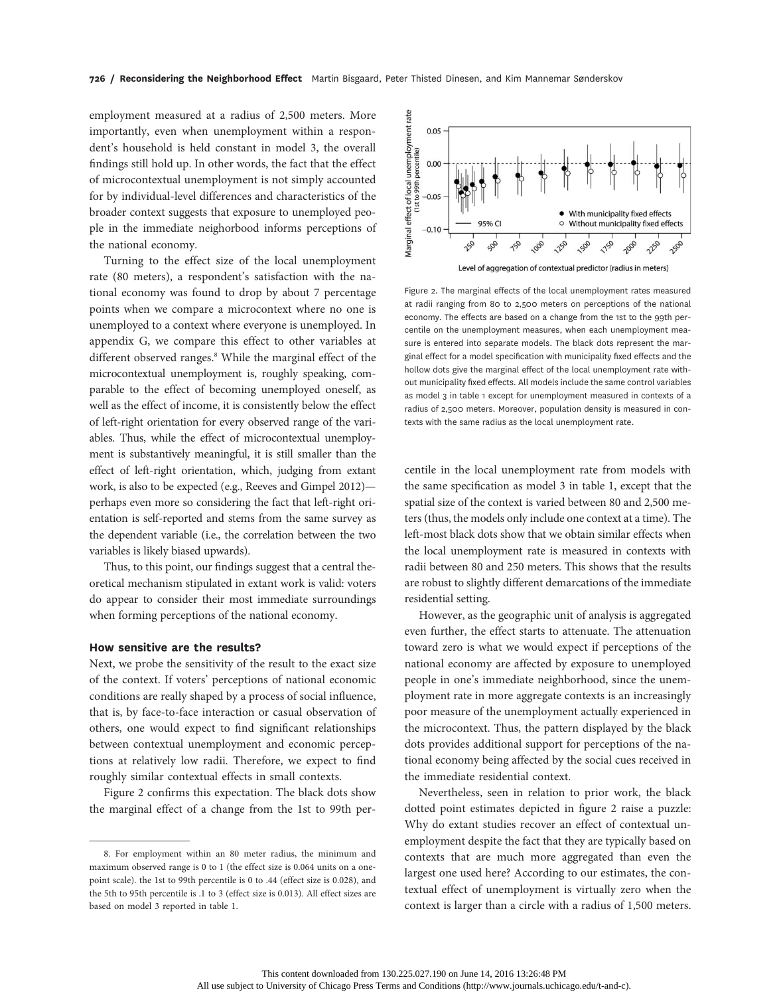employment measured at a radius of 2,500 meters. More importantly, even when unemployment within a respondent's household is held constant in model 3, the overall findings still hold up. In other words, the fact that the effect of microcontextual unemployment is not simply accounted for by individual-level differences and characteristics of the broader context suggests that exposure to unemployed people in the immediate neighorbood informs perceptions of the national economy.

Turning to the effect size of the local unemployment rate (80 meters), a respondent's satisfaction with the national economy was found to drop by about 7 percentage points when we compare a microcontext where no one is unemployed to a context where everyone is unemployed. In appendix G, we compare this effect to other variables at different observed ranges.<sup>8</sup> While the marginal effect of the microcontextual unemployment is, roughly speaking, comparable to the effect of becoming unemployed oneself, as well as the effect of income, it is consistently below the effect of left-right orientation for every observed range of the variables. Thus, while the effect of microcontextual unemployment is substantively meaningful, it is still smaller than the effect of left-right orientation, which, judging from extant work, is also to be expected (e.g., Reeves and Gimpel 2012) perhaps even more so considering the fact that left-right orientation is self-reported and stems from the same survey as the dependent variable (i.e., the correlation between the two variables is likely biased upwards).

Thus, to this point, our findings suggest that a central theoretical mechanism stipulated in extant work is valid: voters do appear to consider their most immediate surroundings when forming perceptions of the national economy.

#### How sensitive are the results?

Next, we probe the sensitivity of the result to the exact size of the context. If voters' perceptions of national economic conditions are really shaped by a process of social influence, that is, by face-to-face interaction or casual observation of others, one would expect to find significant relationships between contextual unemployment and economic perceptions at relatively low radii. Therefore, we expect to find roughly similar contextual effects in small contexts.

Figure 2 confirms this expectation. The black dots show the marginal effect of a change from the 1st to 99th per-



Figure 2. The marginal effects of the local unemployment rates measured at radii ranging from 80 to 2,500 meters on perceptions of the national economy. The effects are based on a change from the 1st to the 99th percentile on the unemployment measures, when each unemployment measure is entered into separate models. The black dots represent the marginal effect for a model specification with municipality fixed effects and the hollow dots give the marginal effect of the local unemployment rate without municipality fixed effects. All models include the same control variables as model 3 in table 1 except for unemployment measured in contexts of a radius of 2,500 meters. Moreover, population density is measured in contexts with the same radius as the local unemployment rate.

centile in the local unemployment rate from models with the same specification as model 3 in table 1, except that the spatial size of the context is varied between 80 and 2,500 meters (thus, the models only include one context at a time). The left-most black dots show that we obtain similar effects when the local unemployment rate is measured in contexts with radii between 80 and 250 meters. This shows that the results are robust to slightly different demarcations of the immediate residential setting.

However, as the geographic unit of analysis is aggregated even further, the effect starts to attenuate. The attenuation toward zero is what we would expect if perceptions of the national economy are affected by exposure to unemployed people in one's immediate neighborhood, since the unemployment rate in more aggregate contexts is an increasingly poor measure of the unemployment actually experienced in the microcontext. Thus, the pattern displayed by the black dots provides additional support for perceptions of the national economy being affected by the social cues received in the immediate residential context.

Nevertheless, seen in relation to prior work, the black dotted point estimates depicted in figure 2 raise a puzzle: Why do extant studies recover an effect of contextual unemployment despite the fact that they are typically based on contexts that are much more aggregated than even the largest one used here? According to our estimates, the contextual effect of unemployment is virtually zero when the context is larger than a circle with a radius of 1,500 meters.

<sup>8.</sup> For employment within an 80 meter radius, the minimum and maximum observed range is 0 to 1 (the effect size is 0.064 units on a onepoint scale). the 1st to 99th percentile is 0 to .44 (effect size is 0.028), and the 5th to 95th percentile is .1 to 3 (effect size is 0.013). All effect sizes are based on model 3 reported in table 1.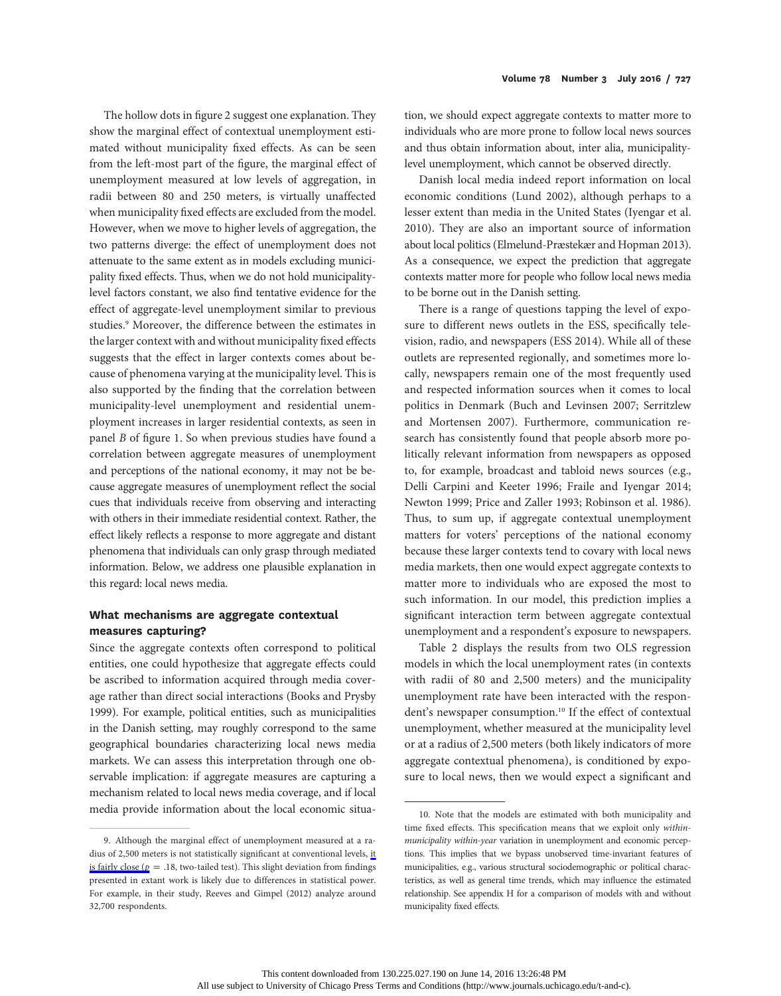The hollow dots in figure 2 suggest one explanation. They show the marginal effect of contextual unemployment estimated without municipality fixed effects. As can be seen from the left-most part of the figure, the marginal effect of unemployment measured at low levels of aggregation, in radii between 80 and 250 meters, is virtually unaffected when municipality fixed effects are excluded from the model. However, when we move to higher levels of aggregation, the two patterns diverge: the effect of unemployment does not attenuate to the same extent as in models excluding municipality fixed effects. Thus, when we do not hold municipalitylevel factors constant, we also find tentative evidence for the effect of aggregate-level unemployment similar to previous studies.<sup>9</sup> Moreover, the difference between the estimates in the larger context with and without municipality fixed effects suggests that the effect in larger contexts comes about because of phenomena varying at the municipality level. This is also supported by the finding that the correlation between municipality-level unemployment and residential unemployment increases in larger residential contexts, as seen in panel B of figure 1. So when previous studies have found a correlation between aggregate measures of unemployment and perceptions of the national economy, it may not be because aggregate measures of unemployment reflect the social cues that individuals receive from observing and interacting with others in their immediate residential context. Rather, the effect likely reflects a response to more aggregate and distant phenomena that individuals can only grasp through mediated information. Below, we address one plausible explanation in this regard: local news media.

## What mechanisms are aggregate contextual measures capturing?

Since the aggregate contexts often correspond to political entities, one could hypothesize that aggregate effects could be ascribed to information acquired through media coverage rather than direct social interactions (Books and Prysby 1999). For example, political entities, such as municipalities in the Danish setting, may roughly correspond to the same geographical boundaries characterizing local news media markets. We can assess this interpretation through one observable implication: if aggregate measures are capturing a mechanism related to local news media coverage, and if local media provide information about the local economic situa-

tion, we should expect aggregate contexts to matter more to individuals who are more prone to follow local news sources and thus obtain information about, inter alia, municipalitylevel unemployment, which cannot be observed directly.

Danish local media indeed report information on local economic conditions (Lund 2002), although perhaps to a lesser extent than media in the United States (Iyengar et al. 2010). They are also an important source of information about local politics (Elmelund-Præstekær and Hopman 2013). As a consequence, we expect the prediction that aggregate contexts matter more for people who follow local news media to be borne out in the Danish setting.

There is a range of questions tapping the level of exposure to different news outlets in the ESS, specifically television, radio, and newspapers (ESS 2014). While all of these outlets are represented regionally, and sometimes more locally, newspapers remain one of the most frequently used and respected information sources when it comes to local politics in Denmark (Buch and Levinsen 2007; Serritzlew and Mortensen 2007). Furthermore, communication research has consistently found that people absorb more politically relevant information from newspapers as opposed to, for example, broadcast and tabloid news sources (e.g., Delli Carpini and Keeter 1996; Fraile and Iyengar 2014; Newton 1999; Price and Zaller 1993; Robinson et al. 1986). Thus, to sum up, if aggregate contextual unemployment matters for voters' perceptions of the national economy because these larger contexts tend to covary with local news media markets, then one would expect aggregate contexts to matter more to individuals who are exposed the most to such information. In our model, this prediction implies a significant interaction term between aggregate contextual unemployment and a respondent's exposure to newspapers.

Table 2 displays the results from two OLS regression models in which the local unemployment rates (in contexts with radii of 80 and 2,500 meters) and the municipality unemployment rate have been interacted with the respondent's newspaper consumption.<sup>10</sup> If the effect of contextual unemployment, whether measured at the municipality level or at a radius of 2,500 meters (both likely indicators of more aggregate contextual phenomena), is conditioned by exposure to local news, then we would expect a significant and

<sup>9.</sup> Although the marginal effect of unemployment measured at a radius of 2,500 meters is not statistically significant at conventional levels, [it](http://www.journals.uchicago.edu/action/showLinks?crossref=10.1016%2FS0261-3794%2899%2900056-6) [is fairly close \(](http://www.journals.uchicago.edu/action/showLinks?crossref=10.1016%2FS0261-3794%2899%2900056-6) $p = .18$ , two-tailed test). This slight deviation from findings presented in extant work is likely due to differences in statistical power. For example, in their study, Reeves and Gimpel (2012) analyze around 32,700 respondents.

<sup>10.</sup> Note that the models are estimated with both municipality and time fixed effects. This specification means that we exploit only withinmunicipality within-year variation in unemployment and economic perceptions. This implies that we bypass unobserved time-invariant features of municipalities, e.g., various structural sociodemographic or political characteristics, as well as general time trends, which may influence the estimated relationship. See appendix H for a comparison of models with and without municipality fixed effects.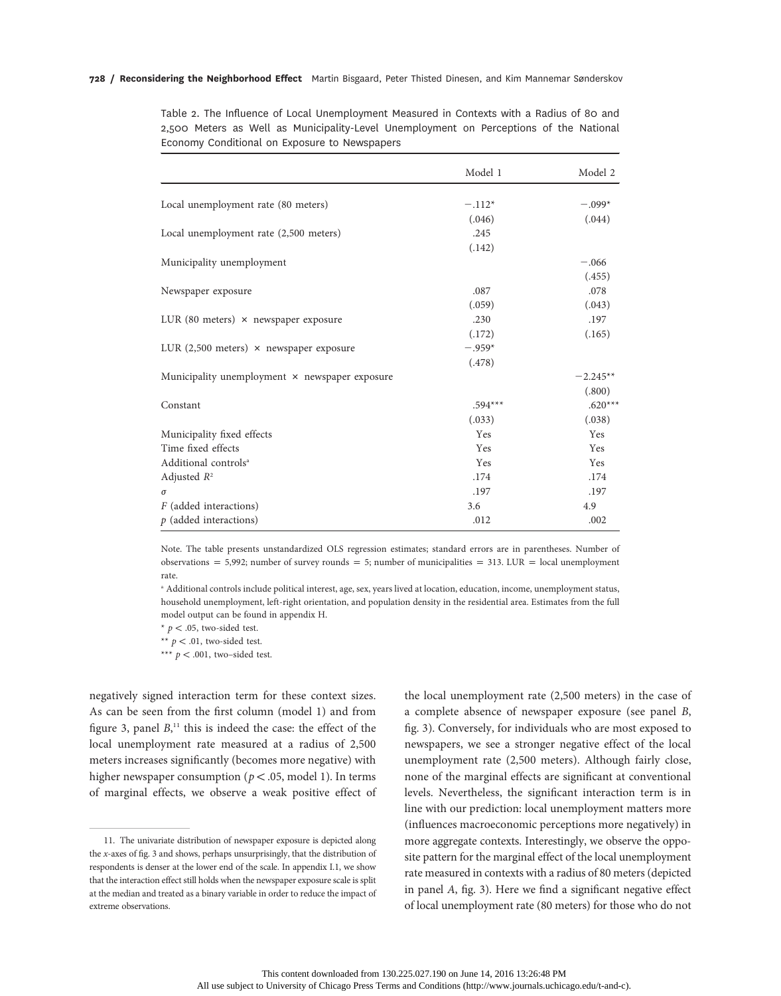|                                                |           | Model 2    |
|------------------------------------------------|-----------|------------|
|                                                | Model 1   |            |
| Local unemployment rate (80 meters)            | $-.112*$  | $-.099*$   |
|                                                | (.046)    | (.044)     |
| Local unemployment rate (2,500 meters)         | .245      |            |
|                                                | (.142)    |            |
| Municipality unemployment                      |           | $-.066$    |
|                                                |           | (.455)     |
| Newspaper exposure                             | .087      | .078       |
|                                                | (.059)    | (.043)     |
| LUR (80 meters) $\times$ newspaper exposure    | .230      | .197       |
|                                                | (.172)    | (.165)     |
| LUR (2,500 meters) $\times$ newspaper exposure | $-.959*$  |            |
|                                                | (.478)    |            |
| Municipality unemployment × newspaper exposure |           | $-2.245**$ |
|                                                |           | (.800)     |
| Constant                                       | $.594***$ | $.620***$  |
|                                                | (.033)    | (.038)     |
| Municipality fixed effects                     | Yes       | Yes        |
| Time fixed effects                             | Yes       | Yes        |
| Additional controls <sup>a</sup>               | Yes       | Yes        |
| Adjusted $R^2$                                 | .174      | .174       |
| $\sigma$                                       | .197      | .197       |
| F (added interactions)                         | 3.6       | 4.9        |
| $p$ (added interactions)                       | .012      | .002       |

Table 2. The Influence of Local Unemployment Measured in Contexts with a Radius of 80 and 2,500 Meters as Well as Municipality-Level Unemployment on Perceptions of the National Economy Conditional on Exposure to Newspapers

Note. The table presents unstandardized OLS regression estimates; standard errors are in parentheses. Number of observations = 5,992; number of survey rounds = 5; number of municipalities = 313. LUR = local unemployment rate.

<sup>a</sup> Additional controls include political interest, age, sex, years lived at location, education, income, unemployment status, household unemployment, left-right orientation, and population density in the residential area. Estimates from the full model output can be found in appendix H.

\*  $p < .05$ , two-sided test.

\*\*  $p < .01$ , two-sided test.

\*\*\*  $p < .001$ , two-sided test.

negatively signed interaction term for these context sizes. As can be seen from the first column (model 1) and from figure 3, panel  $B$ ,<sup>11</sup> this is indeed the case: the effect of the local unemployment rate measured at a radius of 2,500 meters increases significantly (becomes more negative) with higher newspaper consumption ( $p < .05$ , model 1). In terms of marginal effects, we observe a weak positive effect of

the local unemployment rate (2,500 meters) in the case of a complete absence of newspaper exposure (see panel B, fig. 3). Conversely, for individuals who are most exposed to newspapers, we see a stronger negative effect of the local unemployment rate (2,500 meters). Although fairly close, none of the marginal effects are significant at conventional levels. Nevertheless, the significant interaction term is in line with our prediction: local unemployment matters more (influences macroeconomic perceptions more negatively) in more aggregate contexts. Interestingly, we observe the opposite pattern for the marginal effect of the local unemployment rate measured in contexts with a radius of 80 meters (depicted in panel A, fig. 3). Here we find a significant negative effect of local unemployment rate (80 meters) for those who do not

<sup>11.</sup> The univariate distribution of newspaper exposure is depicted along the x-axes of fig. 3 and shows, perhaps unsurprisingly, that the distribution of respondents is denser at the lower end of the scale. In appendix I.1, we show that the interaction effect still holds when the newspaper exposure scale is split at the median and treated as a binary variable in order to reduce the impact of extreme observations.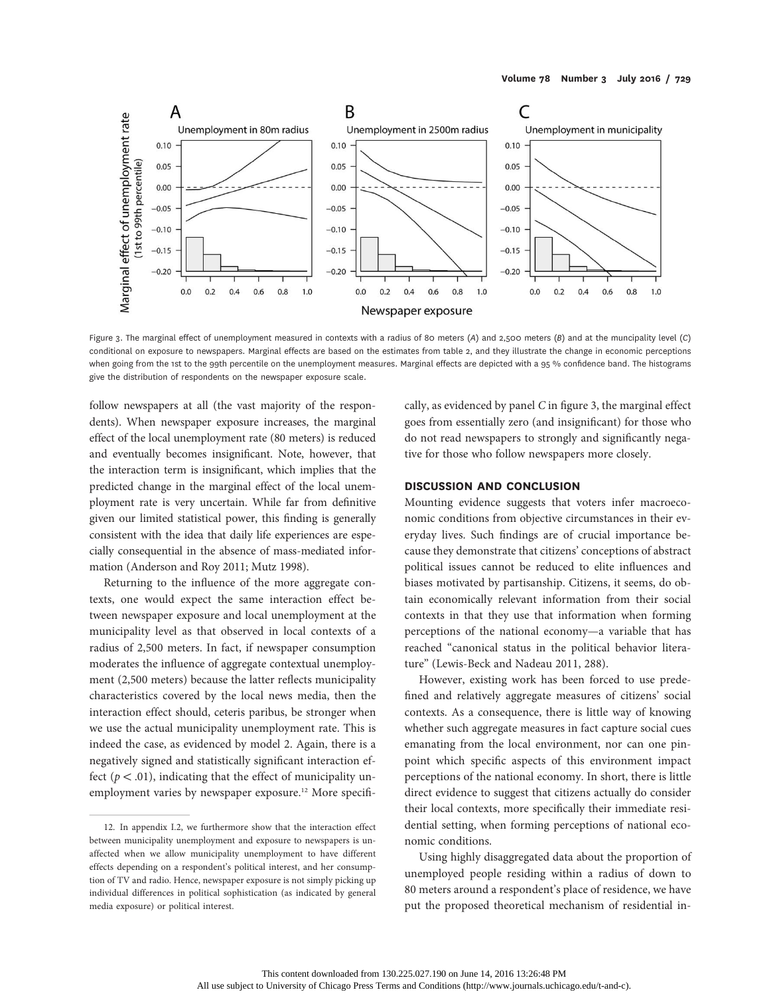

Figure 3. The marginal effect of unemployment measured in contexts with a radius of 80 meters (A) and 2,500 meters (B) and at the muncipality level (C) conditional on exposure to newspapers. Marginal effects are based on the estimates from table 2, and they illustrate the change in economic perceptions when going from the 1st to the 99th percentile on the unemployment measures. Marginal effects are depicted with a 95 % confidence band. The histograms give the distribution of respondents on the newspaper exposure scale.

follow newspapers at all (the vast majority of the respondents). When newspaper exposure increases, the marginal effect of the local unemployment rate (80 meters) is reduced and eventually becomes insignificant. Note, however, that the interaction term is insignificant, which implies that the predicted change in the marginal effect of the local unemployment rate is very uncertain. While far from definitive given our limited statistical power, this finding is generally consistent with the idea that daily life experiences are especially consequential in the absence of mass-mediated information (Anderson and Roy 2011; Mutz 1998).

Returning to the influence of the more aggregate contexts, one would expect the same interaction effect between newspaper exposure and local unemployment at the municipality level as that observed in local contexts of a radius of 2,500 meters. In fact, if newspaper consumption moderates the influence of aggregate contextual unemployment (2,500 meters) because the latter reflects municipality characteristics covered by the local news media, then the interaction effect should, ceteris paribus, be stronger when we use the actual municipality unemployment rate. This is indeed the case, as evidenced by model 2. Again, there is a negatively signed and statistically significant interaction effect ( $p < .01$ ), indicating that the effect of municipality unemployment varies by newspaper exposure.<sup>12</sup> More specifically, as evidenced by panel C in figure 3, the marginal effect goes from essentially zero (and insignificant) for those who do not read newspapers to strongly and significantly negative for those who follow newspapers more closely.

### DISCUSSION AND CONCLUSION

Mounting evidence suggests that voters infer macroeconomic conditions from objective circumstances in their everyday lives. Such findings are of crucial importance because they demonstrate that citizens' conceptions of abstract political issues cannot be reduced to elite influences and biases motivated by partisanship. Citizens, it seems, do obtain economically relevant information from their social contexts in that they use that information when forming perceptions of the national economy—a variable that has reached "canonical status in the political behavior literature" (Lewis-Beck and Nadeau 2011, 288).

However, existing work has been forced to use predefined and relatively aggregate measures of citizens' social contexts. As a consequence, there is little way of knowing whether such aggregate measures in fact capture social cues emanating from the local environment, nor can one pinpoint which specific aspects of this environment impact perceptions of the national economy. In short, there is little direct evidence to suggest that citizens actually do consider their local contexts, more specifically their immediate residential setting, when forming perceptions of national economic conditions.

Using highly disaggregated data about the proportion of unemployed people residing within a radius of down to 80 meters around a respondent's place of residence, we have put the proposed theoretical mechanism of residential in-

<sup>12.</sup> In appendix I.2, we furthermore show that the interaction effect between municipality unemployment and exposure to newspapers is unaffected when we allow municipality unemployment to have different effects depending on a respondent's political interest, and her consumption of TV and radio. Hence, newspaper exposure is not simply picking up individual differences in political sophistication (as indicated by general media exposure) or political interest.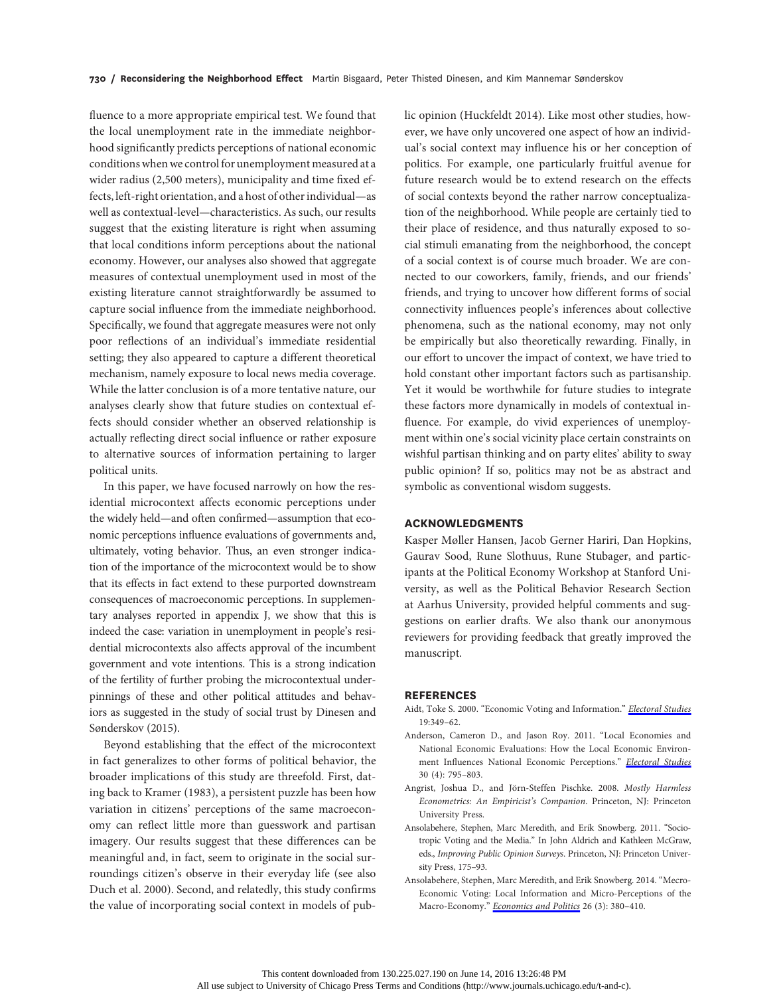fluence to a more appropriate empirical test. We found that the local unemployment rate in the immediate neighborhood significantly predicts perceptions of national economic conditions when we control for unemployment measured at a wider radius (2,500 meters), municipality and time fixed effects, left-right orientation, and a host of other individual—as well as contextual-level—characteristics. As such, our results suggest that the existing literature is right when assuming that local conditions inform perceptions about the national economy. However, our analyses also showed that aggregate measures of contextual unemployment used in most of the existing literature cannot straightforwardly be assumed to capture social influence from the immediate neighborhood. Specifically, we found that aggregate measures were not only poor reflections of an individual's immediate residential setting; they also appeared to capture a different theoretical mechanism, namely exposure to local news media coverage. While the latter conclusion is of a more tentative nature, our analyses clearly show that future studies on contextual effects should consider whether an observed relationship is actually reflecting direct social influence or rather exposure to alternative sources of information pertaining to larger political units.

In this paper, we have focused narrowly on how the residential microcontext affects economic perceptions under the widely held—and often confirmed—assumption that economic perceptions influence evaluations of governments and, ultimately, voting behavior. Thus, an even stronger indication of the importance of the microcontext would be to show that its effects in fact extend to these purported downstream consequences of macroeconomic perceptions. In supplementary analyses reported in appendix J, we show that this is indeed the case: variation in unemployment in people's residential microcontexts also affects approval of the incumbent government and vote intentions. This is a strong indication of the fertility of further probing the microcontextual underpinnings of these and other political attitudes and behaviors as suggested in the study of social trust by Dinesen and Sønderskov (2015).

Beyond establishing that the effect of the microcontext in fact generalizes to other forms of political behavior, the broader implications of this study are threefold. First, dating back to Kramer (1983), a persistent puzzle has been how variation in citizens' perceptions of the same macroeconomy can reflect little more than guesswork and partisan imagery. Our results suggest that these differences can be meaningful and, in fact, seem to originate in the social surroundings citizen's observe in their everyday life (see also Duch et al. 2000). Second, and relatedly, this study confirms the value of incorporating social context in models of public opinion (Huckfeldt 2014). Like most other studies, however, we have only uncovered one aspect of how an individual's social context may influence his or her conception of politics. For example, one particularly fruitful avenue for future research would be to extend research on the effects of social contexts beyond the rather narrow conceptualization of the neighborhood. While people are certainly tied to their place of residence, and thus naturally exposed to social stimuli emanating from the neighborhood, the concept of a social context is of course much broader. We are connected to our coworkers, family, friends, and our friends' friends, and trying to uncover how different forms of social connectivity influences people's inferences about collective phenomena, such as the national economy, may not only be empirically but also theoretically rewarding. Finally, in our effort to uncover the impact of context, we have tried to hold constant other important factors such as partisanship. Yet it would be worthwhile for future studies to integrate these factors more dynamically in models of contextual influence. For example, do vivid experiences of unemployment within one's social vicinity place certain constraints on wishful partisan thinking and on party elites' ability to sway public opinion? If so, politics may not be as abstract and symbolic as conventional wisdom suggests.

#### ACKNOWLEDGMENTS

Kasper Møller Hansen, Jacob Gerner Hariri, Dan Hopkins, Gaurav Sood, Rune Slothuus, Rune Stubager, and participants at the Political Economy Workshop at Stanford University, as well as the Political Behavior Research Section at Aarhus University, provided helpful comments and suggestions on earlier drafts. We also thank our anonymous reviewers for providing feedback that greatly improved the manuscript.

#### **REFERENCES**

- Aidt, Toke S. 2000. "Economic Voting and Information." [Electoral Studies](http://www.journals.uchicago.edu/action/showLinks?crossref=10.1016%2FS0261-3794%2899%2900056-6) 19:349–62.
- Anderson, Cameron D., and Jason Roy. 2011. "Local Economies and National Economic Evaluations: How the Local Economic Environ-ment Influences National Economic Perceptions." [Electoral Studies](http://www.journals.uchicago.edu/action/showLinks?crossref=10.1016%2Fj.electstud.2011.07.007) 30 (4): 795–803.
- Angrist, Joshua D., and Jörn-Steffen Pischke. 2008. Mostly Harmless Econometrics: An Empiricist's Companion. Princeton, NJ: Princeton University Press.
- Ansolabehere, Stephen, Marc Meredith, and Erik Snowberg. 2011. "Sociotropic Voting and the Media." In John Aldrich and Kathleen McGraw, eds., Improving Public Opinion Surveys. Princeton, NJ: Princeton University Press, 175–93.
- Ansolabehere, Stephen, Marc Meredith, and Erik Snowberg. 2014. "Mecro-Economic Voting: Local Information and Micro-Perceptions of the Macro-Economy." [Economics and Politics](http://www.journals.uchicago.edu/action/showLinks?crossref=10.1111%2Fecpo.12040) 26 (3): 380-410.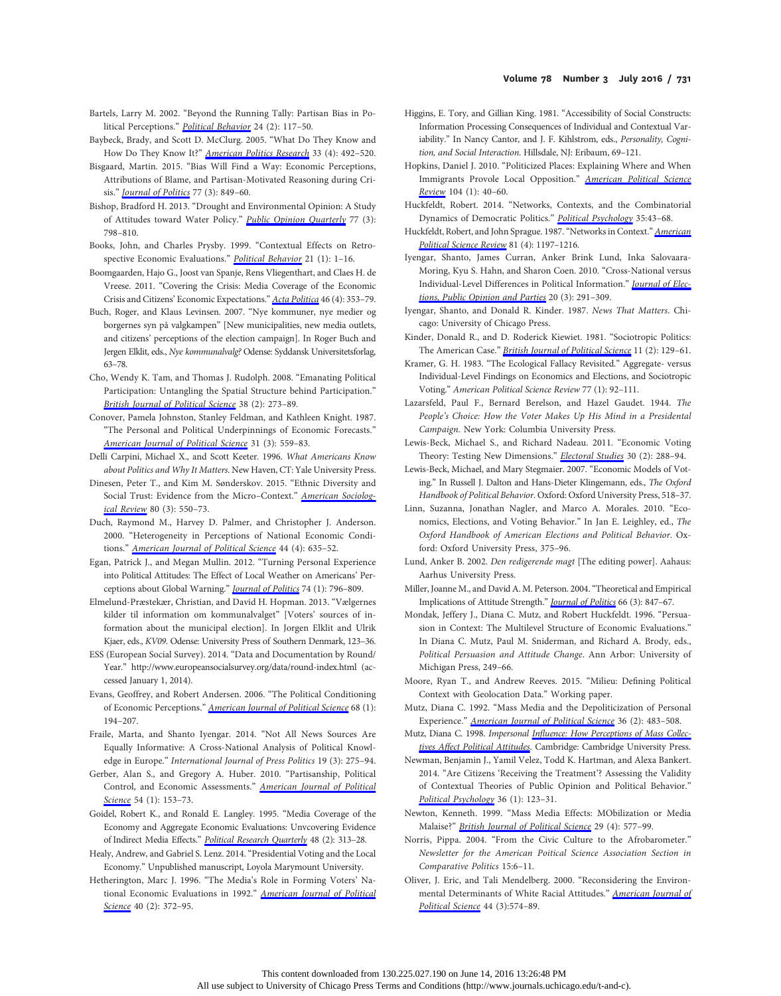- Bartels, Larry M. 2002. "Beyond the Running Tally: Partisan Bias in Po-litical Perceptions." [Political Behavior](http://www.journals.uchicago.edu/action/showLinks?crossref=10.1023%2FA%3A1021226224601) 24 (2): 117-50.
- Baybeck, Brady, and Scott D. McClurg. 2005. "What Do They Know and How Do They Know It?" [American Politics Research](http://www.journals.uchicago.edu/action/showLinks?crossref=10.1177%2F1532673X04270934) 33 (4): 492-520.
- Bisgaard, Martin. 2015. "Bias Will Find a Way: Economic Perceptions, Attributions of Blame, and Partisan-Motivated Reasoning during Crisis." *[Journal of Politics](http://www.journals.uchicago.edu/action/showLinks?system=10.1086%2F681591)* 77 (3): 849-60.
- Bishop, Bradford H. 2013. "Drought and Environmental Opinion: A Study of Attitudes toward Water Policy." [Public Opinion Quarterly](http://www.journals.uchicago.edu/action/showLinks?crossref=10.1093%2Fpoq%2Fnft034) 77 (3): 798–810.
- Books, John, and Charles Prysby. 1999. "Contextual Effects on Retro-spective Economic Evaluations." [Political Behavior](http://www.journals.uchicago.edu/action/showLinks?crossref=10.1023%2FA%3A1023371328591) 21 (1): 1-16.
- Boomgaarden, Hajo G., Joost van Spanje, Rens Vliegenthart, and Claes H. de Vreese. 2011. "Covering the Crisis: Media Coverage of the Economic Crisis and Citizens' Economic Expectations." [Acta Politica](http://www.journals.uchicago.edu/action/showLinks?crossref=10.1057%2Fap.2011.18) 46 (4): 353–79.
- Buch, Roger, and Klaus Levinsen. 2007. "Nye kommuner, nye medier og borgernes syn på valgkampen" [New municipalities, new media outlets, and citizens' perceptions of the election campaign]. In Roger Buch and Jergen Elklit, eds., Nye kommunalvalg? Odense: Syddansk Universitetsforlag, 63–78.
- Cho, Wendy K. Tam, and Thomas J. Rudolph. 2008. "Emanating Political Participation: Untangling the Spatial Structure behind Participation." [British Journal of Political Science](http://www.journals.uchicago.edu/action/showLinks?crossref=10.1017%2FS0007123408000148) 38 (2): 273-89.
- Conover, Pamela Johnston, Stanley Feldman, and Kathleen Knight. 1987. "The Personal and Political Underpinnings of Economic Forecasts." [American Journal of Political Science](http://www.journals.uchicago.edu/action/showLinks?crossref=10.2307%2F2111283) 31 (3): 559-83.
- Delli Carpini, Michael X., and Scott Keeter. 1996. What Americans Know about Politics and Why It Matters. New Haven, CT: Yale University Press.
- Dinesen, Peter T., and Kim M. Sønderskov. 2015. "Ethnic Diversity and Social Trust: Evidence from the Micro-Context." [American Sociolog](http://www.journals.uchicago.edu/action/showLinks?crossref=10.1177%2F0003122415577989)[ical Review](http://www.journals.uchicago.edu/action/showLinks?crossref=10.1177%2F0003122415577989) 80 (3): 550-73.
- Duch, Raymond M., Harvey D. Palmer, and Christopher J. Anderson. 2000. "Heterogeneity in Perceptions of National Economic Condi-tions." [American Journal of Political Science](http://www.journals.uchicago.edu/action/showLinks?crossref=10.2307%2F2669272) 44 (4): 635-52.
- Egan, Patrick J., and Megan Mullin. 2012. "Turning Personal Experience into Political Attitudes: The Effect of Local Weather on Americans' Perceptions about Global Warning." *[Journal of Politics](http://www.journals.uchicago.edu/action/showLinks?system=10.1017%2FS0022381612000448)* 74 (1): 796-809.
- Elmelund-Præstekær, Christian, and David H. Hopman. 2013. "Vælgernes kilder til information om kommunalvalget" [Voters' sources of information about the municipal election]. In Jorgen Elklit and Ulrik Kjaer, eds., KV09. Odense: University Press of Southern Denmark, 123–36.
- ESS (European Social Survey). 2014. "Data and Documentation by Round/ Year." http://www.europeansocialsurvey.org/data/round-index.html (accessed January 1, 2014).
- Evans, Geoffrey, and Robert Andersen. 2006. "The Political Conditioning of Economic Perceptions." [American Journal of Political Science](http://www.journals.uchicago.edu/action/showLinks?system-d=10.1111%2Fj.1468-2508.2006.00380.x) 68 (1): 194–207.
- Fraile, Marta, and Shanto Iyengar. 2014. "Not All News Sources Are Equally Informative: A Cross-National Analysis of Political Knowledge in Europe." International Journal of Press Politics 19 (3): 275–94.
- Gerber, Alan S., and Gregory A. Huber. 2010. "Partisanship, Political Control, and Economic Assessments." [American Journal of Political](http://www.journals.uchicago.edu/action/showLinks?crossref=10.1111%2Fj.1540-5907.2009.00424.x) [Science](http://www.journals.uchicago.edu/action/showLinks?crossref=10.1111%2Fj.1540-5907.2009.00424.x) 54 (1): 153-73.
- Goidel, Robert K., and Ronald E. Langley. 1995. "Media Coverage of the Economy and Aggregate Economic Evaluations: Unvcovering Evidence of Indirect Media Effects." *[Political Research Quarterly](http://www.journals.uchicago.edu/action/showLinks?crossref=10.1177%2F106591299504800205)* 48 (2): 313-28.
- Healy, Andrew, and Gabriel S. Lenz. 2014. "Presidential Voting and the Local Economy." Unpublished manuscript, Loyola Marymount University.
- Hetherington, Marc J. 1996. "The Media's Role in Forming Voters' Na-tional Economic Evaluations in 1992." [American Journal of Political](http://www.journals.uchicago.edu/action/showLinks?crossref=10.2307%2F2111629) [Science](http://www.journals.uchicago.edu/action/showLinks?crossref=10.2307%2F2111629) 40 (2): 372-95.
- Higgins, E. Tory, and Gillian King. 1981. "Accessibility of Social Constructs: Information Processing Consequences of Individual and Contextual Variability." In Nancy Cantor, and J. F. Kihlstrom, eds., Personality, Cognition, and Social Interaction. Hillsdale, NJ: Eribaum, 69–121.
- Hopkins, Daniel J. 2010. "Politicized Places: Explaining Where and When Immigrants Provole Local Opposition." [American Political Science](http://www.journals.uchicago.edu/action/showLinks?crossref=10.1017%2FS0003055409990360) [Review](http://www.journals.uchicago.edu/action/showLinks?crossref=10.1017%2FS0003055409990360) 104 (1): 40–60.
- Huckfeldt, Robert. 2014. "Networks, Contexts, and the Combinatorial Dynamics of Democratic Politics." [Political Psychology](http://www.journals.uchicago.edu/action/showLinks?crossref=10.1111%2Fpops.12161) 35:43-68.
- Huckfeldt, Robert, and John Sprague. 1987. "Networks in Context." [American](http://www.journals.uchicago.edu/action/showLinks?crossref=10.2307%2F1962585) [Political Science Review](http://www.journals.uchicago.edu/action/showLinks?crossref=10.2307%2F1962585) 81 (4): 1197–1216.
- Iyengar, Shanto, James Curran, Anker Brink Lund, Inka Salovaara-Moring, Kyu S. Hahn, and Sharon Coen. 2010. "Cross-National versus Individual-Level Differences in Political Information." [Journal of Elec](http://www.journals.uchicago.edu/action/showLinks?crossref=10.1080%2F17457289.2010.490707)[tions, Public Opinion and Parties](http://www.journals.uchicago.edu/action/showLinks?crossref=10.1080%2F17457289.2010.490707) 20 (3): 291-309.
- Iyengar, Shanto, and Donald R. Kinder. 1987. News That Matters. Chicago: University of Chicago Press.
- Kinder, Donald R., and D. Roderick Kiewiet. 1981. "Sociotropic Politics: The American Case." [British Journal of Political Science](http://www.journals.uchicago.edu/action/showLinks?crossref=10.1017%2FS0007123400002544) 11 (2): 129-61.
- Kramer, G. H. 1983. "The Ecological Fallacy Revisited." Aggregate- versus Individual-Level Findings on Economics and Elections, and Sociotropic Voting." American Political Science Review 77 (1): 92–111.
- Lazarsfeld, Paul F., Bernard Berelson, and Hazel Gaudet. 1944. The People's Choice: How the Voter Makes Up His Mind in a Presidental Campaign. New York: Columbia University Press.
- Lewis-Beck, Michael S., and Richard Nadeau. 2011. "Economic Voting Theory: Testing New Dimensions." [Electoral Studies](http://www.journals.uchicago.edu/action/showLinks?crossref=10.1016%2Fj.electstud.2010.09.001) 30 (2): 288-94.
- Lewis-Beck, Michael, and Mary Stegmaier. 2007. "Economic Models of Voting." In Russell J. Dalton and Hans-Dieter Klingemann, eds., The Oxford Handbook of Political Behavior. Oxford: Oxford University Press, 518–37.
- Linn, Suzanna, Jonathan Nagler, and Marco A. Morales. 2010. "Economics, Elections, and Voting Behavior." In Jan E. Leighley, ed., The Oxford Handbook of American Elections and Political Behavior. Oxford: Oxford University Press, 375–96.
- Lund, Anker B. 2002. Den redigerende magt [The editing power]. Aahaus: Aarhus University Press.
- Miller, Joanne M., and David A. M. Peterson. 2004."Theoretical and Empirical Implications of Attitude Strength." *[Journal of Politics](http://www.journals.uchicago.edu/action/showLinks?system=10.1111%2Fj.1468-2508.2004.00279.x)* 66 (3): 847-67.
- Mondak, Jeffery J., Diana C. Mutz, and Robert Huckfeldt. 1996. "Persuasion in Context: The Multilevel Structure of Economic Evaluations." In Diana C. Mutz, Paul M. Sniderman, and Richard A. Brody, eds., Political Persuasion and Attitude Change. Ann Arbor: University of Michigan Press, 249–66.
- Moore, Ryan T., and Andrew Reeves. 2015. "Milieu: Defining Political Context with Geolocation Data." Working paper.
- Mutz, Diana C. 1992. "Mass Media and the Depoliticization of Personal Experience." [American Journal of Political Science](http://www.journals.uchicago.edu/action/showLinks?crossref=10.2307%2F2111487) 36 (2): 483–508.
- Mutz, Diana C. 1998. Impersonal Infl[uence: How Perceptions of Mass Collec](http://www.journals.uchicago.edu/action/showLinks?crossref=10.1017%2FCBO9781139175074)[tives Affect Political Attitudes](http://www.journals.uchicago.edu/action/showLinks?crossref=10.1017%2FCBO9781139175074). Cambridge: Cambridge University Press.
- Newman, Benjamin J., Yamil Velez, Todd K. Hartman, and Alexa Bankert. 2014. "Are Citizens 'Receiving the Treatment'? Assessing the Validity of Contextual Theories of Public Opinion and Political Behavior." [Political Psychology](http://www.journals.uchicago.edu/action/showLinks?crossref=10.1111%2Fpops.12069) 36 (1): 123-31.
- Newton, Kenneth. 1999. "Mass Media Effects: MObilization or Media Malaise?" [British Journal of Political Science](http://www.journals.uchicago.edu/action/showLinks?crossref=10.1017%2FS0007123499000289) 29 (4): 577-99.
- Norris, Pippa. 2004. "From the Civic Culture to the Afrobarometer." Newsletter for the American Poitical Science Association Section in Comparative Politics 15:6–11.
- Oliver, J. Eric, and Tali Mendelberg. 2000. "Reconsidering the Environ-mental Determinants of White Racial Attitudes." [American Journal of](http://www.journals.uchicago.edu/action/showLinks?crossref=10.2307%2F2669265) [Political Science](http://www.journals.uchicago.edu/action/showLinks?crossref=10.2307%2F2669265) 44 (3):574–89.